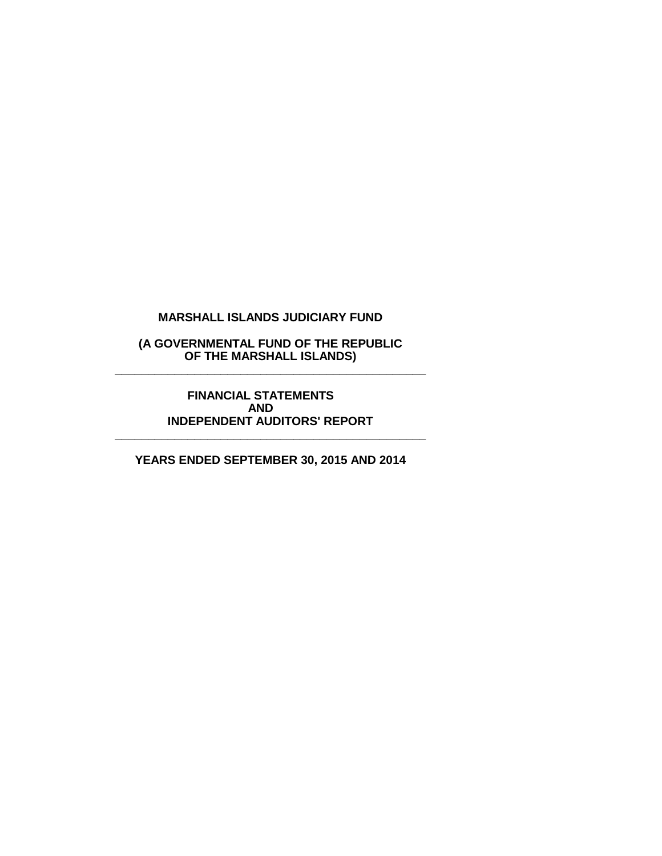# **(A GOVERNMENTAL FUND OF THE REPUBLIC OF THE MARSHALL ISLANDS) \_\_\_\_\_\_\_\_\_\_\_\_\_\_\_\_\_\_\_\_\_\_\_\_\_\_\_\_\_\_\_\_\_\_\_\_\_\_\_\_\_\_\_\_\_\_\_**

#### **FINANCIAL STATEMENTS AND INDEPENDENT AUDITORS' REPORT**

**\_\_\_\_\_\_\_\_\_\_\_\_\_\_\_\_\_\_\_\_\_\_\_\_\_\_\_\_\_\_\_\_\_\_\_\_\_\_\_\_\_\_\_\_\_\_\_**

**YEARS ENDED SEPTEMBER 30, 2015 AND 2014**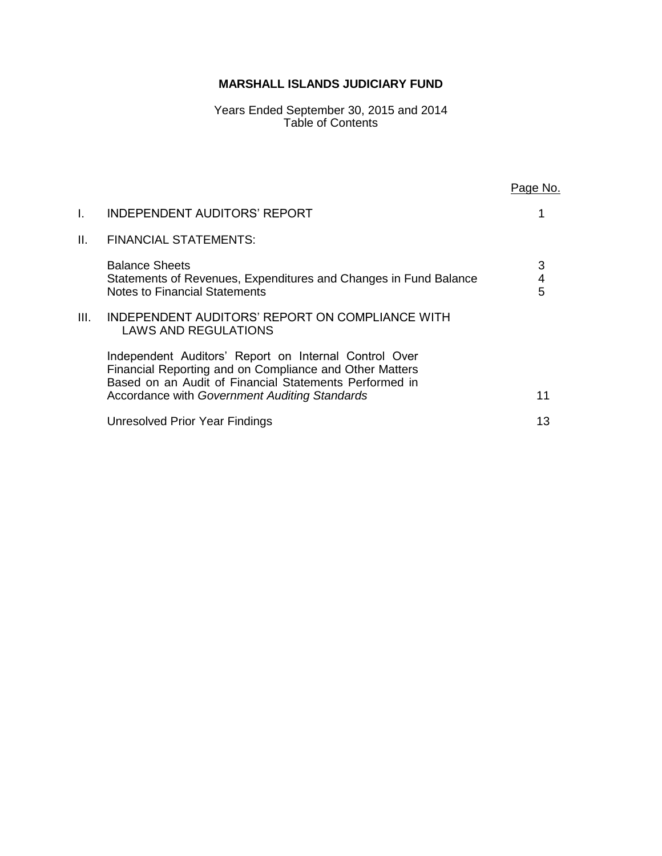Years Ended September 30, 2015 and 2014 Table of Contents

|      |                                                                                                                                                                            | Page No.    |
|------|----------------------------------------------------------------------------------------------------------------------------------------------------------------------------|-------------|
| I.   | <b>INDEPENDENT AUDITORS' REPORT</b>                                                                                                                                        |             |
| II.  | <b>FINANCIAL STATEMENTS:</b>                                                                                                                                               |             |
|      | <b>Balance Sheets</b><br>Statements of Revenues, Expenditures and Changes in Fund Balance<br>Notes to Financial Statements                                                 | 3<br>4<br>5 |
| III. | INDEPENDENT AUDITORS' REPORT ON COMPLIANCE WITH<br><b>LAWS AND REGULATIONS</b>                                                                                             |             |
|      | Independent Auditors' Report on Internal Control Over<br>Financial Reporting and on Compliance and Other Matters<br>Based on an Audit of Financial Statements Performed in |             |
|      | Accordance with Government Auditing Standards                                                                                                                              | 11          |
|      | Unresolved Prior Year Findings                                                                                                                                             | 13          |
|      |                                                                                                                                                                            |             |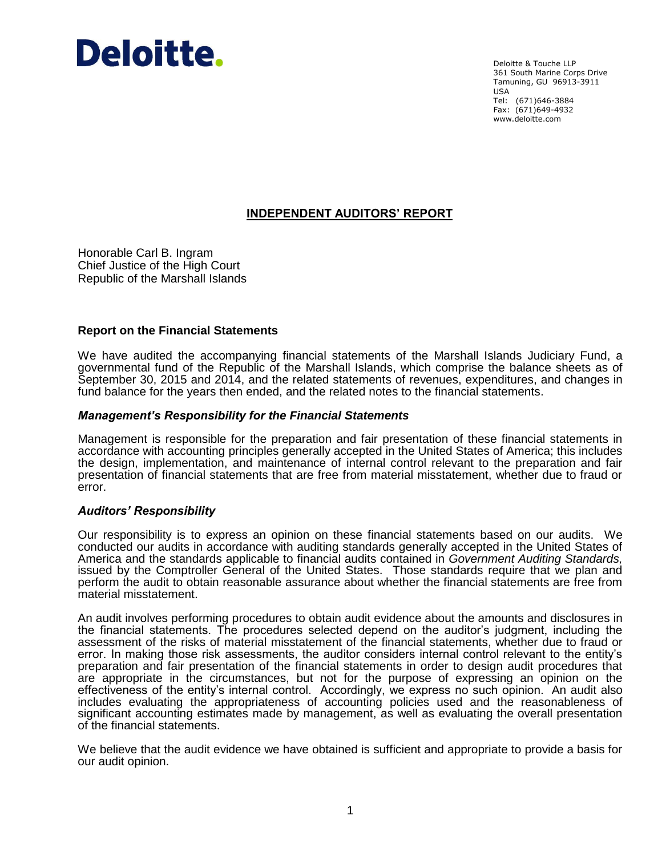# Deloitte.

Deloitte & Touche LLP 361 South Marine Corps Drive Tamuning, GU 96913-3911 USA Tel: (671)646-3884 Fax: (671)649-4932 www.deloitte.com

# **INDEPENDENT AUDITORS' REPORT**

Honorable Carl B. Ingram Chief Justice of the High Court Republic of the Marshall Islands

# **Report on the Financial Statements**

We have audited the accompanying financial statements of the Marshall Islands Judiciary Fund, a governmental fund of the Republic of the Marshall Islands, which comprise the balance sheets as of September 30, 2015 and 2014, and the related statements of revenues, expenditures, and changes in fund balance for the years then ended, and the related notes to the financial statements.

# *Management's Responsibility for the Financial Statements*

Management is responsible for the preparation and fair presentation of these financial statements in accordance with accounting principles generally accepted in the United States of America; this includes the design, implementation, and maintenance of internal control relevant to the preparation and fair presentation of financial statements that are free from material misstatement, whether due to fraud or error.

# *Auditors' Responsibility*

Our responsibility is to express an opinion on these financial statements based on our audits. We conducted our audits in accordance with auditing standards generally accepted in the United States of America and the standards applicable to financial audits contained in *Government Auditing Standards,* issued by the Comptroller General of the United States. Those standards require that we plan and perform the audit to obtain reasonable assurance about whether the financial statements are free from material misstatement.

An audit involves performing procedures to obtain audit evidence about the amounts and disclosures in the financial statements. The procedures selected depend on the auditor's judgment, including the assessment of the risks of material misstatement of the financial statements, whether due to fraud or error. In making those risk assessments, the auditor considers internal control relevant to the entity's preparation and fair presentation of the financial statements in order to design audit procedures that are appropriate in the circumstances, but not for the purpose of expressing an opinion on the effectiveness of the entity's internal control. Accordingly, we express no such opinion. An audit also includes evaluating the appropriateness of accounting policies used and the reasonableness of significant accounting estimates made by management, as well as evaluating the overall presentation of the financial statements.

We believe that the audit evidence we have obtained is sufficient and appropriate to provide a basis for our audit opinion.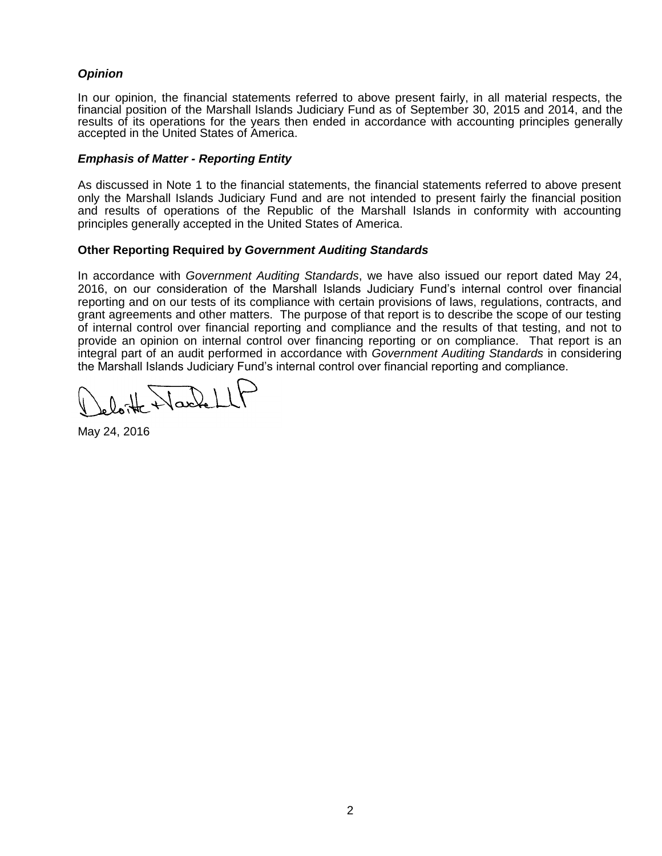# *Opinion*

In our opinion, the financial statements referred to above present fairly, in all material respects, the financial position of the Marshall Islands Judiciary Fund as of September 30, 2015 and 2014, and the results of its operations for the years then ended in accordance with accounting principles generally accepted in the United States of America.

# *Emphasis of Matter - Reporting Entity*

As discussed in Note 1 to the financial statements, the financial statements referred to above present only the Marshall Islands Judiciary Fund and are not intended to present fairly the financial position and results of operations of the Republic of the Marshall Islands in conformity with accounting principles generally accepted in the United States of America.

# **Other Reporting Required by** *Government Auditing Standards*

In accordance with *Government Auditing Standards*, we have also issued our report dated May 24, 2016, on our consideration of the Marshall Islands Judiciary Fund's internal control over financial reporting and on our tests of its compliance with certain provisions of laws, regulations, contracts, and grant agreements and other matters. The purpose of that report is to describe the scope of our testing of internal control over financial reporting and compliance and the results of that testing, and not to provide an opinion on internal control over financing reporting or on compliance. That report is an integral part of an audit performed in accordance with *Government Auditing Standards* in considering the Marshall Islands Judiciary Fund's internal control over financial reporting and compliance.

 $\frac{1}{\sqrt{2}}$ 

May 24, 2016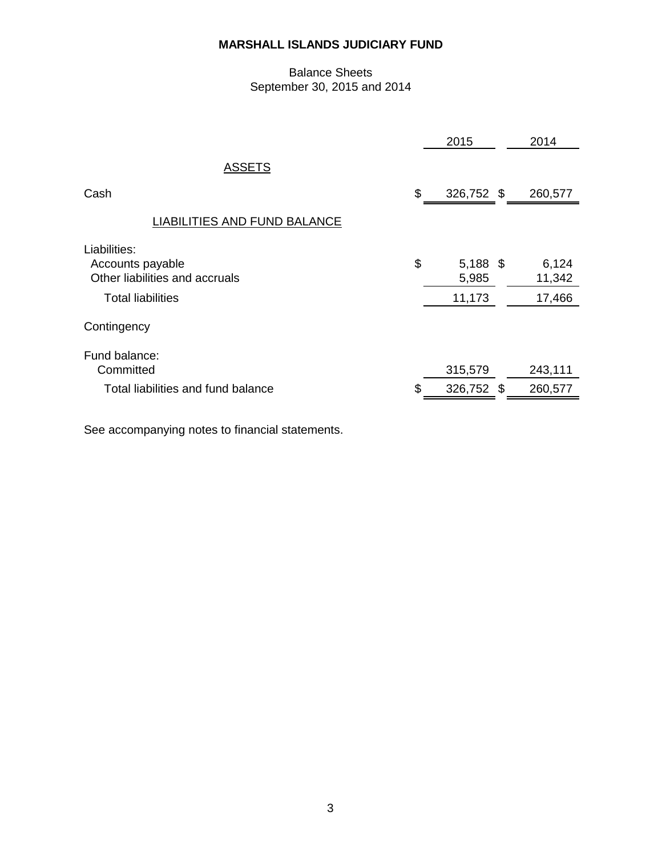# Balance Sheets September 30, 2015 and 2014

|                                                                    | 2015                      | 2014            |
|--------------------------------------------------------------------|---------------------------|-----------------|
| <b>ASSETS</b>                                                      |                           |                 |
| Cash                                                               | \$<br>326,752 \$          | 260,577         |
| <b>LIABILITIES AND FUND BALANCE</b>                                |                           |                 |
| Liabilities:<br>Accounts payable<br>Other liabilities and accruals | \$<br>$5,188$ \$<br>5,985 | 6,124<br>11,342 |
| <b>Total liabilities</b>                                           | 11,173                    | 17,466          |
| Contingency                                                        |                           |                 |
| Fund balance:<br>Committed                                         | 315,579                   | 243,111         |
| Total liabilities and fund balance                                 | \$<br>326,752 \$          | 260,577         |
|                                                                    |                           |                 |

See accompanying notes to financial statements.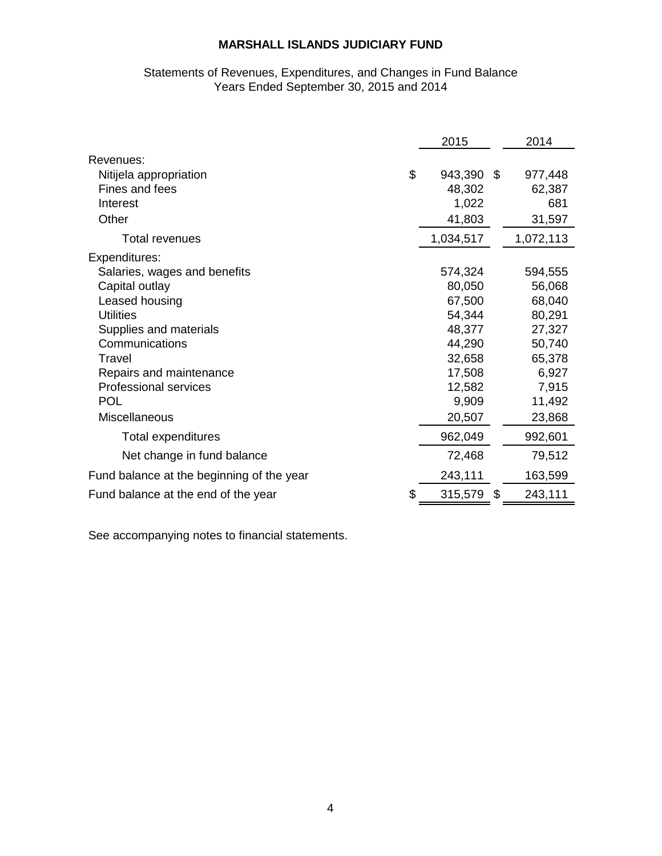# Statements of Revenues, Expenditures, and Changes in Fund Balance Years Ended September 30, 2015 and 2014

|                                           |    | 2015      | 2014          |
|-------------------------------------------|----|-----------|---------------|
| Revenues:                                 |    |           |               |
| Nitijela appropriation                    | \$ | 943,390   | \$<br>977,448 |
| Fines and fees                            |    | 48,302    | 62,387        |
| Interest                                  |    | 1,022     | 681           |
| Other                                     |    | 41,803    | 31,597        |
| <b>Total revenues</b>                     |    | 1,034,517 | 1,072,113     |
| Expenditures:                             |    |           |               |
| Salaries, wages and benefits              |    | 574,324   | 594,555       |
| Capital outlay                            |    | 80,050    | 56,068        |
| Leased housing                            |    | 67,500    | 68,040        |
| <b>Utilities</b>                          |    | 54,344    | 80,291        |
| Supplies and materials                    |    | 48,377    | 27,327        |
| Communications                            |    | 44,290    | 50,740        |
| Travel                                    |    | 32,658    | 65,378        |
| Repairs and maintenance                   |    | 17,508    | 6,927         |
| <b>Professional services</b>              |    | 12,582    | 7,915         |
| <b>POL</b>                                |    | 9,909     | 11,492        |
| Miscellaneous                             |    | 20,507    | 23,868        |
| <b>Total expenditures</b>                 |    | 962,049   | 992,601       |
| Net change in fund balance                |    | 72,468    | 79,512        |
| Fund balance at the beginning of the year |    | 243,111   | 163,599       |
| Fund balance at the end of the year       | \$ | 315,579   | 243,111       |

See accompanying notes to financial statements.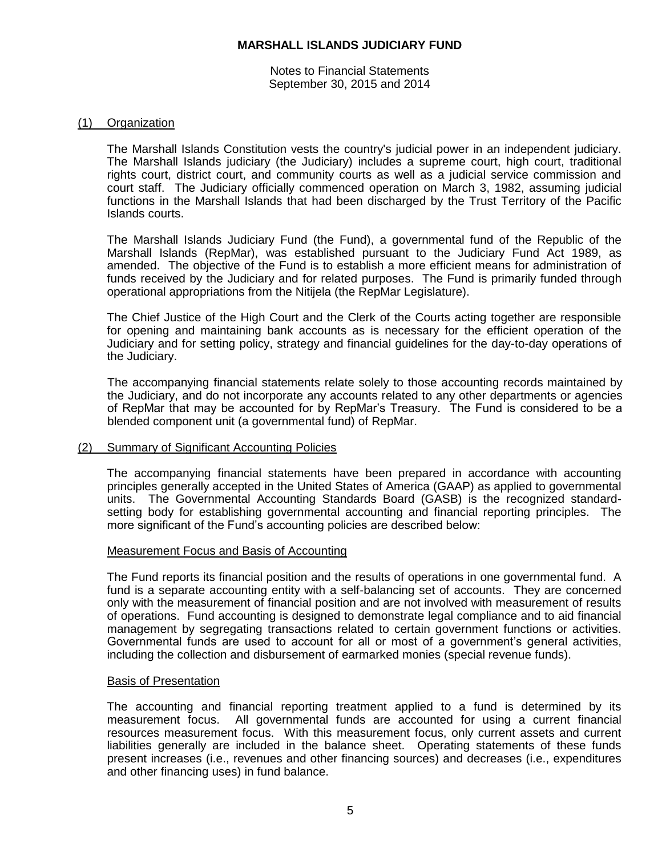Notes to Financial Statements September 30, 2015 and 2014

## (1) Organization

The Marshall Islands Constitution vests the country's judicial power in an independent judiciary. The Marshall Islands judiciary (the Judiciary) includes a supreme court, high court, traditional rights court, district court, and community courts as well as a judicial service commission and court staff. The Judiciary officially commenced operation on March 3, 1982, assuming judicial functions in the Marshall Islands that had been discharged by the Trust Territory of the Pacific Islands courts.

The Marshall Islands Judiciary Fund (the Fund), a governmental fund of the Republic of the Marshall Islands (RepMar), was established pursuant to the Judiciary Fund Act 1989, as amended. The objective of the Fund is to establish a more efficient means for administration of funds received by the Judiciary and for related purposes. The Fund is primarily funded through operational appropriations from the Nitijela (the RepMar Legislature).

The Chief Justice of the High Court and the Clerk of the Courts acting together are responsible for opening and maintaining bank accounts as is necessary for the efficient operation of the Judiciary and for setting policy, strategy and financial guidelines for the day-to-day operations of the Judiciary.

The accompanying financial statements relate solely to those accounting records maintained by the Judiciary, and do not incorporate any accounts related to any other departments or agencies of RepMar that may be accounted for by RepMar's Treasury. The Fund is considered to be a blended component unit (a governmental fund) of RepMar.

#### (2) Summary of Significant Accounting Policies

The accompanying financial statements have been prepared in accordance with accounting principles generally accepted in the United States of America (GAAP) as applied to governmental units. The Governmental Accounting Standards Board (GASB) is the recognized standardsetting body for establishing governmental accounting and financial reporting principles. The more significant of the Fund's accounting policies are described below:

#### Measurement Focus and Basis of Accounting

The Fund reports its financial position and the results of operations in one governmental fund. A fund is a separate accounting entity with a self-balancing set of accounts. They are concerned only with the measurement of financial position and are not involved with measurement of results of operations. Fund accounting is designed to demonstrate legal compliance and to aid financial management by segregating transactions related to certain government functions or activities. Governmental funds are used to account for all or most of a government's general activities, including the collection and disbursement of earmarked monies (special revenue funds).

#### Basis of Presentation

The accounting and financial reporting treatment applied to a fund is determined by its measurement focus. All governmental funds are accounted for using a current financial resources measurement focus. With this measurement focus, only current assets and current liabilities generally are included in the balance sheet. Operating statements of these funds present increases (i.e., revenues and other financing sources) and decreases (i.e., expenditures and other financing uses) in fund balance.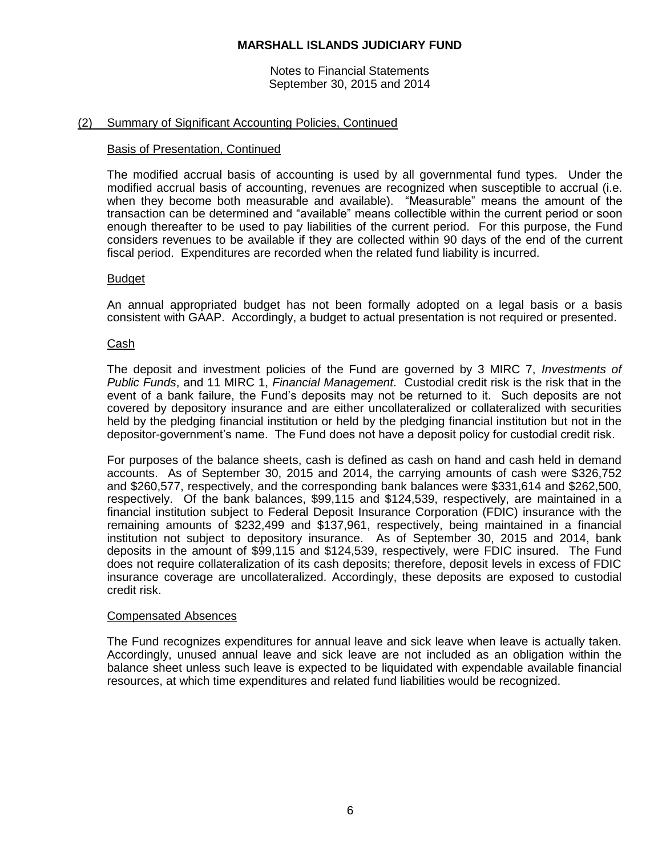Notes to Financial Statements September 30, 2015 and 2014

# (2) Summary of Significant Accounting Policies, Continued

## Basis of Presentation, Continued

The modified accrual basis of accounting is used by all governmental fund types. Under the modified accrual basis of accounting, revenues are recognized when susceptible to accrual (i.e. when they become both measurable and available). "Measurable" means the amount of the transaction can be determined and "available" means collectible within the current period or soon enough thereafter to be used to pay liabilities of the current period. For this purpose, the Fund considers revenues to be available if they are collected within 90 days of the end of the current fiscal period. Expenditures are recorded when the related fund liability is incurred.

# Budget

An annual appropriated budget has not been formally adopted on a legal basis or a basis consistent with GAAP. Accordingly, a budget to actual presentation is not required or presented.

# Cash

The deposit and investment policies of the Fund are governed by 3 MIRC 7, *Investments of Public Funds*, and 11 MIRC 1, *Financial Management*. Custodial credit risk is the risk that in the event of a bank failure, the Fund's deposits may not be returned to it. Such deposits are not covered by depository insurance and are either uncollateralized or collateralized with securities held by the pledging financial institution or held by the pledging financial institution but not in the depositor-government's name. The Fund does not have a deposit policy for custodial credit risk.

For purposes of the balance sheets, cash is defined as cash on hand and cash held in demand accounts. As of September 30, 2015 and 2014, the carrying amounts of cash were \$326,752 and \$260,577, respectively, and the corresponding bank balances were \$331,614 and \$262,500, respectively. Of the bank balances, \$99,115 and \$124,539, respectively, are maintained in a financial institution subject to Federal Deposit Insurance Corporation (FDIC) insurance with the remaining amounts of \$232,499 and \$137,961, respectively, being maintained in a financial institution not subject to depository insurance. As of September 30, 2015 and 2014, bank deposits in the amount of \$99,115 and \$124,539, respectively, were FDIC insured. The Fund does not require collateralization of its cash deposits; therefore, deposit levels in excess of FDIC insurance coverage are uncollateralized. Accordingly, these deposits are exposed to custodial credit risk.

#### Compensated Absences

The Fund recognizes expenditures for annual leave and sick leave when leave is actually taken. Accordingly, unused annual leave and sick leave are not included as an obligation within the balance sheet unless such leave is expected to be liquidated with expendable available financial resources, at which time expenditures and related fund liabilities would be recognized.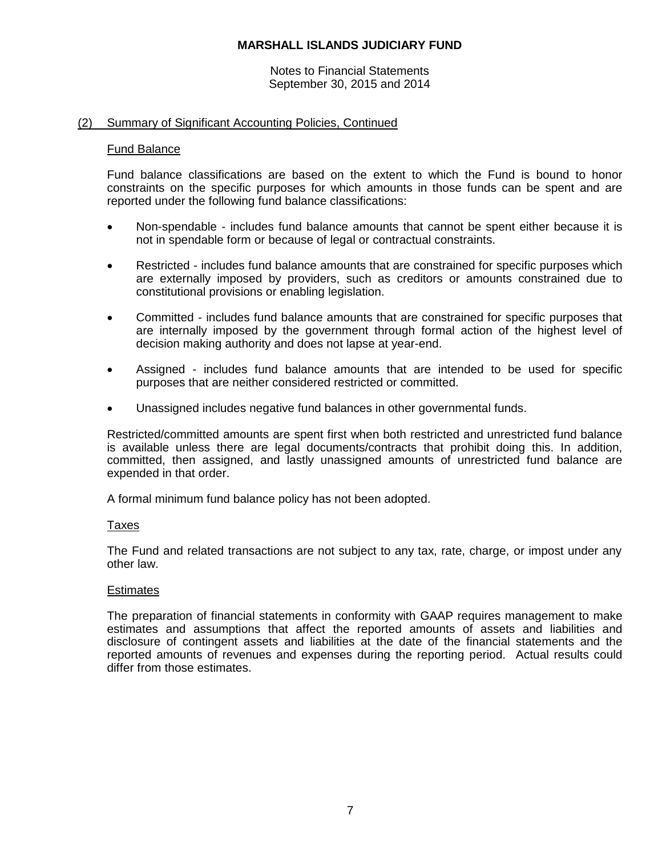#### Notes to Financial Statements September 30, 2015 and 2014

# (2) Summary of Significant Accounting Policies, Continued

## Fund Balance

Fund balance classifications are based on the extent to which the Fund is bound to honor constraints on the specific purposes for which amounts in those funds can be spent and are reported under the following fund balance classifications:

- Non-spendable includes fund balance amounts that cannot be spent either because it is not in spendable form or because of legal or contractual constraints.
- Restricted includes fund balance amounts that are constrained for specific purposes which are externally imposed by providers, such as creditors or amounts constrained due to constitutional provisions or enabling legislation.
- Committed includes fund balance amounts that are constrained for specific purposes that are internally imposed by the government through formal action of the highest level of decision making authority and does not lapse at year-end.
- Assigned includes fund balance amounts that are intended to be used for specific purposes that are neither considered restricted or committed.
- Unassigned includes negative fund balances in other governmental funds.

Restricted/committed amounts are spent first when both restricted and unrestricted fund balance is available unless there are legal documents/contracts that prohibit doing this. In addition, committed, then assigned, and lastly unassigned amounts of unrestricted fund balance are expended in that order.

A formal minimum fund balance policy has not been adopted.

# Taxes

The Fund and related transactions are not subject to any tax, rate, charge, or impost under any other law.

# **Estimates**

The preparation of financial statements in conformity with GAAP requires management to make estimates and assumptions that affect the reported amounts of assets and liabilities and disclosure of contingent assets and liabilities at the date of the financial statements and the reported amounts of revenues and expenses during the reporting period. Actual results could differ from those estimates.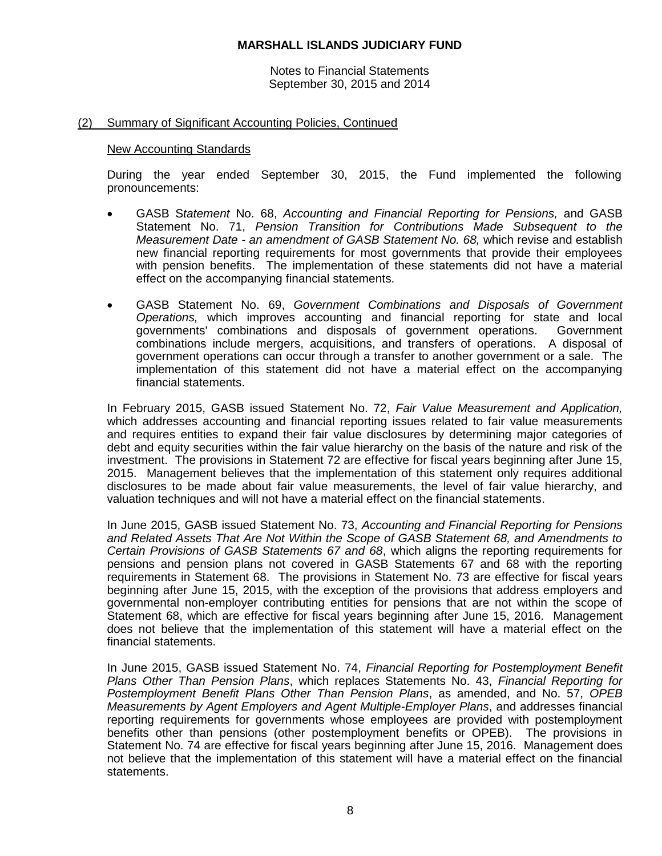Notes to Financial Statements September 30, 2015 and 2014

# (2) Summary of Significant Accounting Policies, Continued

#### New Accounting Standards

During the year ended September 30, 2015, the Fund implemented the following pronouncements:

- GASB S*tatement* No. 68, *Accounting and Financial Reporting for Pensions,* and GASB Statement No. 71, *Pension Transition for Contributions Made Subsequent to the Measurement Date - an amendment of GASB Statement No. 68,* which revise and establish new financial reporting requirements for most governments that provide their employees with pension benefits. The implementation of these statements did not have a material effect on the accompanying financial statements.
- GASB Statement No. 69, *Government Combinations and Disposals of Government Operations,* which improves accounting and financial reporting for state and local governments' combinations and disposals of government operations. Government combinations include mergers, acquisitions, and transfers of operations. A disposal of government operations can occur through a transfer to another government or a sale. The implementation of this statement did not have a material effect on the accompanying financial statements.

In February 2015, GASB issued Statement No. 72, *Fair Value Measurement and Application,*  which addresses accounting and financial reporting issues related to fair value measurements and requires entities to expand their fair value disclosures by determining major categories of debt and equity securities within the fair value hierarchy on the basis of the nature and risk of the investment. The provisions in Statement 72 are effective for fiscal years beginning after June 15, 2015. Management believes that the implementation of this statement only requires additional disclosures to be made about fair value measurements, the level of fair value hierarchy, and valuation techniques and will not have a material effect on the financial statements.

In June 2015, GASB issued Statement No. 73, *Accounting and Financial Reporting for Pensions and Related Assets That Are Not Within the Scope of GASB Statement 68, and Amendments to Certain Provisions of GASB Statements 67 and 68*, which aligns the reporting requirements for pensions and pension plans not covered in GASB Statements 67 and 68 with the reporting requirements in Statement 68. The provisions in Statement No. 73 are effective for fiscal years beginning after June 15, 2015, with the exception of the provisions that address employers and governmental non-employer contributing entities for pensions that are not within the scope of Statement 68, which are effective for fiscal years beginning after June 15, 2016. Management does not believe that the implementation of this statement will have a material effect on the financial statements.

In June 2015, GASB issued Statement No. 74, *Financial Reporting for Postemployment Benefit Plans Other Than Pension Plans*, which replaces Statements No. 43, *Financial Reporting for Postemployment Benefit Plans Other Than Pension Plans*, as amended, and No. 57, *OPEB Measurements by Agent Employers and Agent Multiple-Employer Plans*, and addresses financial reporting requirements for governments whose employees are provided with postemployment benefits other than pensions (other postemployment benefits or OPEB). The provisions in Statement No. 74 are effective for fiscal years beginning after June 15, 2016. Management does not believe that the implementation of this statement will have a material effect on the financial statements.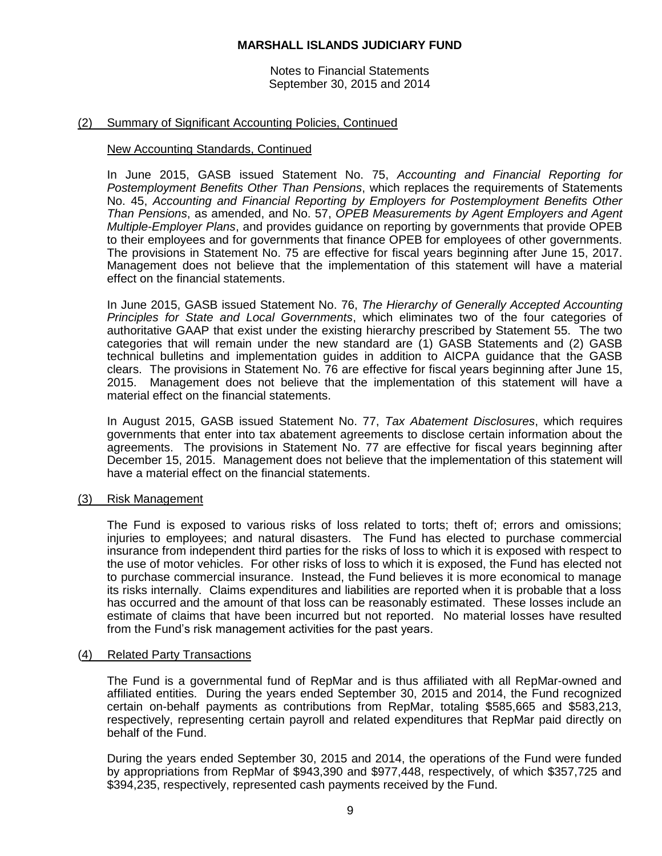Notes to Financial Statements September 30, 2015 and 2014

# (2) Summary of Significant Accounting Policies, Continued

#### New Accounting Standards, Continued

In June 2015, GASB issued Statement No. 75, *Accounting and Financial Reporting for Postemployment Benefits Other Than Pensions*, which replaces the requirements of Statements No. 45, *Accounting and Financial Reporting by Employers for Postemployment Benefits Other Than Pensions*, as amended, and No. 57, *OPEB Measurements by Agent Employers and Agent Multiple-Employer Plans*, and provides guidance on reporting by governments that provide OPEB to their employees and for governments that finance OPEB for employees of other governments. The provisions in Statement No. 75 are effective for fiscal years beginning after June 15, 2017. Management does not believe that the implementation of this statement will have a material effect on the financial statements.

In June 2015, GASB issued Statement No. 76, *The Hierarchy of Generally Accepted Accounting Principles for State and Local Governments*, which eliminates two of the four categories of authoritative GAAP that exist under the existing hierarchy prescribed by Statement 55. The two categories that will remain under the new standard are (1) GASB Statements and (2) GASB technical bulletins and implementation guides in addition to AICPA guidance that the GASB clears. The provisions in Statement No. 76 are effective for fiscal years beginning after June 15, 2015. Management does not believe that the implementation of this statement will have a material effect on the financial statements.

In August 2015, GASB issued Statement No. 77, *Tax Abatement Disclosures*, which requires governments that enter into tax abatement agreements to disclose certain information about the agreements. The provisions in Statement No. 77 are effective for fiscal years beginning after December 15, 2015. Management does not believe that the implementation of this statement will have a material effect on the financial statements.

#### (3) Risk Management

The Fund is exposed to various risks of loss related to torts; theft of; errors and omissions; injuries to employees; and natural disasters. The Fund has elected to purchase commercial insurance from independent third parties for the risks of loss to which it is exposed with respect to the use of motor vehicles. For other risks of loss to which it is exposed, the Fund has elected not to purchase commercial insurance. Instead, the Fund believes it is more economical to manage its risks internally. Claims expenditures and liabilities are reported when it is probable that a loss has occurred and the amount of that loss can be reasonably estimated. These losses include an estimate of claims that have been incurred but not reported. No material losses have resulted from the Fund's risk management activities for the past years.

# (4) Related Party Transactions

The Fund is a governmental fund of RepMar and is thus affiliated with all RepMar-owned and affiliated entities. During the years ended September 30, 2015 and 2014, the Fund recognized certain on-behalf payments as contributions from RepMar, totaling \$585,665 and \$583,213, respectively, representing certain payroll and related expenditures that RepMar paid directly on behalf of the Fund.

During the years ended September 30, 2015 and 2014, the operations of the Fund were funded by appropriations from RepMar of \$943,390 and \$977,448, respectively, of which \$357,725 and \$394,235, respectively, represented cash payments received by the Fund.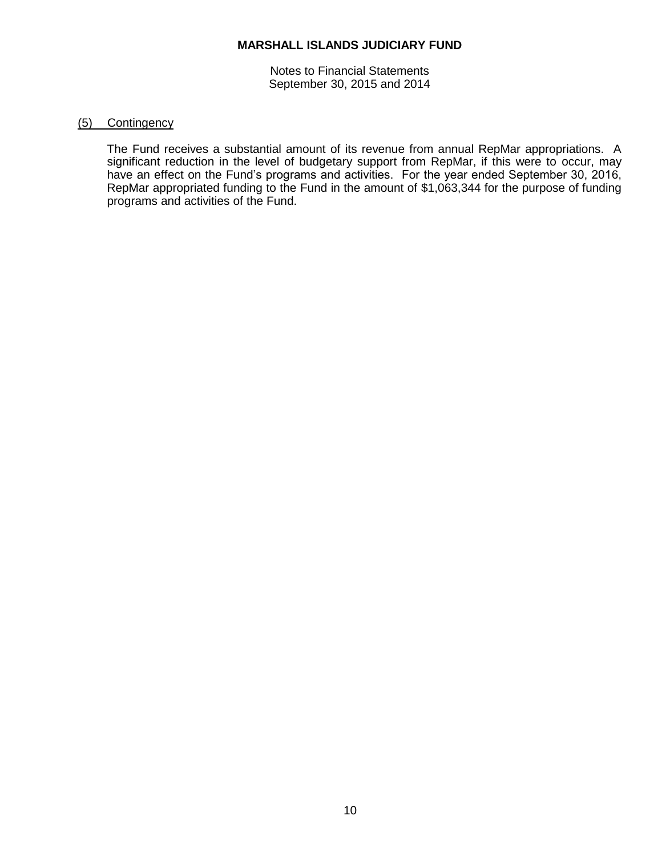Notes to Financial Statements September 30, 2015 and 2014

## (5) Contingency

The Fund receives a substantial amount of its revenue from annual RepMar appropriations. A significant reduction in the level of budgetary support from RepMar, if this were to occur, may have an effect on the Fund's programs and activities. For the year ended September 30, 2016, RepMar appropriated funding to the Fund in the amount of \$1,063,344 for the purpose of funding programs and activities of the Fund.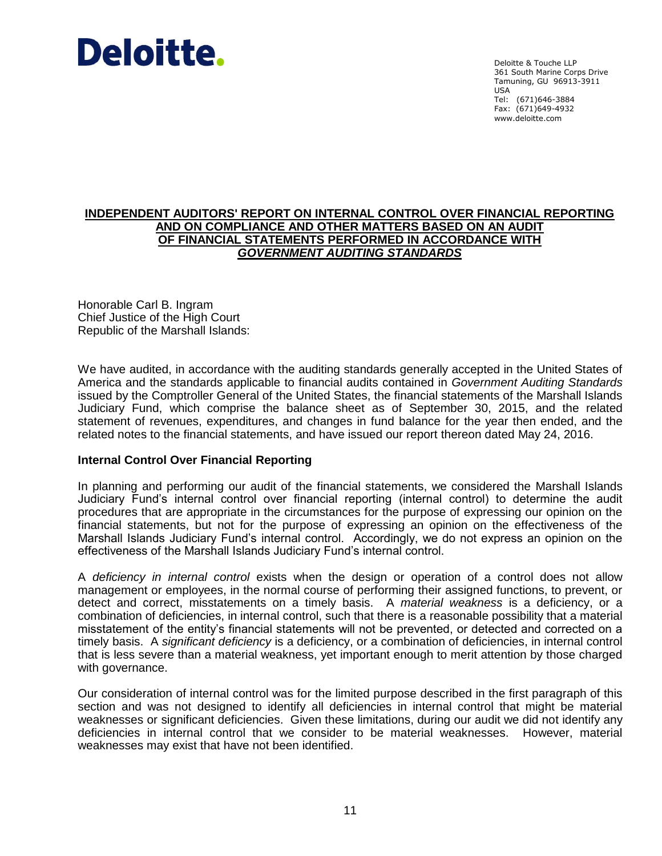# Deloitte.

Deloitte & Touche LLP 361 South Marine Corps Drive Tamuning, GU 96913-3911 USA Tel: (671)646-3884 Fax: (671)649-4932 www.deloitte.com

# **INDEPENDENT AUDITORS' REPORT ON INTERNAL CONTROL OVER FINANCIAL REPORTING AND ON COMPLIANCE AND OTHER MATTERS BASED ON AN AUDIT OF FINANCIAL STATEMENTS PERFORMED IN ACCORDANCE WITH** *GOVERNMENT AUDITING STANDARDS*

Honorable Carl B. Ingram Chief Justice of the High Court Republic of the Marshall Islands:

We have audited, in accordance with the auditing standards generally accepted in the United States of America and the standards applicable to financial audits contained in *Government Auditing Standards* issued by the Comptroller General of the United States, the financial statements of the Marshall Islands Judiciary Fund, which comprise the balance sheet as of September 30, 2015, and the related statement of revenues, expenditures, and changes in fund balance for the year then ended, and the related notes to the financial statements, and have issued our report thereon dated May 24, 2016.

# **Internal Control Over Financial Reporting**

In planning and performing our audit of the financial statements, we considered the Marshall Islands Judiciary Fund's internal control over financial reporting (internal control) to determine the audit procedures that are appropriate in the circumstances for the purpose of expressing our opinion on the financial statements, but not for the purpose of expressing an opinion on the effectiveness of the Marshall Islands Judiciary Fund's internal control. Accordingly, we do not express an opinion on the effectiveness of the Marshall Islands Judiciary Fund's internal control.

A *deficiency in internal control* exists when the design or operation of a control does not allow management or employees, in the normal course of performing their assigned functions, to prevent, or detect and correct, misstatements on a timely basis. A *material weakness* is a deficiency, or a combination of deficiencies, in internal control, such that there is a reasonable possibility that a material misstatement of the entity's financial statements will not be prevented, or detected and corrected on a timely basis. A *significant deficiency* is a deficiency, or a combination of deficiencies, in internal control that is less severe than a material weakness, yet important enough to merit attention by those charged with governance.

Our consideration of internal control was for the limited purpose described in the first paragraph of this section and was not designed to identify all deficiencies in internal control that might be material weaknesses or significant deficiencies. Given these limitations, during our audit we did not identify any deficiencies in internal control that we consider to be material weaknesses. However, material weaknesses may exist that have not been identified.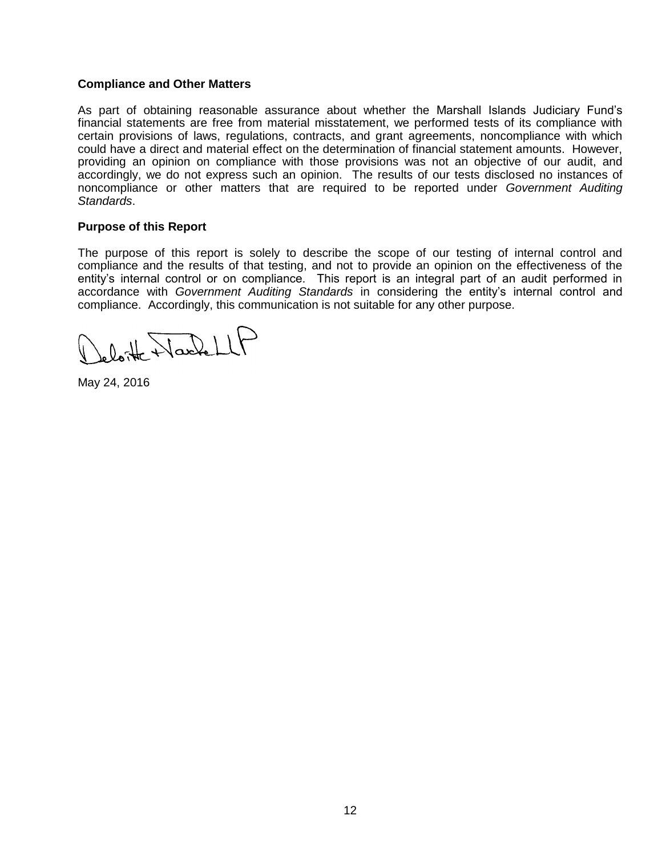# **Compliance and Other Matters**

As part of obtaining reasonable assurance about whether the Marshall Islands Judiciary Fund's financial statements are free from material misstatement, we performed tests of its compliance with certain provisions of laws, regulations, contracts, and grant agreements, noncompliance with which could have a direct and material effect on the determination of financial statement amounts. However, providing an opinion on compliance with those provisions was not an objective of our audit, and accordingly, we do not express such an opinion. The results of our tests disclosed no instances of noncompliance or other matters that are required to be reported under *Government Auditing Standards*.

#### **Purpose of this Report**

The purpose of this report is solely to describe the scope of our testing of internal control and compliance and the results of that testing, and not to provide an opinion on the effectiveness of the entity's internal control or on compliance. This report is an integral part of an audit performed in accordance with *Government Auditing Standards* in considering the entity's internal control and compliance. Accordingly, this communication is not suitable for any other purpose.

loite Nachell

May 24, 2016